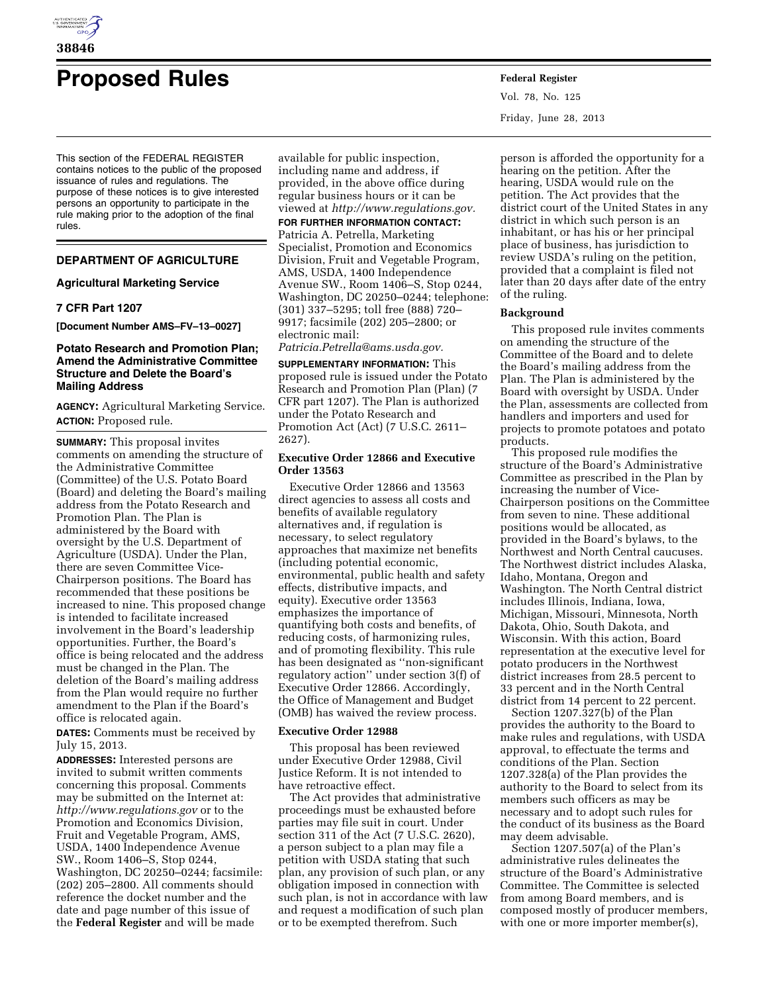

# **Proposed Rules Federal Register**

This section of the FEDERAL REGISTER contains notices to the public of the proposed issuance of rules and regulations. The purpose of these notices is to give interested persons an opportunity to participate in the rule making prior to the adoption of the final rules.

# **DEPARTMENT OF AGRICULTURE**

#### **Agricultural Marketing Service**

# **7 CFR Part 1207**

**[Document Number AMS–FV–13–0027]** 

# **Potato Research and Promotion Plan; Amend the Administrative Committee Structure and Delete the Board's Mailing Address**

**AGENCY:** Agricultural Marketing Service. **ACTION:** Proposed rule.

**SUMMARY:** This proposal invites comments on amending the structure of the Administrative Committee (Committee) of the U.S. Potato Board (Board) and deleting the Board's mailing address from the Potato Research and Promotion Plan. The Plan is administered by the Board with oversight by the U.S. Department of Agriculture (USDA). Under the Plan, there are seven Committee Vice-Chairperson positions. The Board has recommended that these positions be increased to nine. This proposed change is intended to facilitate increased involvement in the Board's leadership opportunities. Further, the Board's office is being relocated and the address must be changed in the Plan. The deletion of the Board's mailing address from the Plan would require no further amendment to the Plan if the Board's office is relocated again.

**DATES:** Comments must be received by July 15, 2013.

**ADDRESSES:** Interested persons are invited to submit written comments concerning this proposal. Comments may be submitted on the Internet at: *<http://www.regulations.gov>* or to the Promotion and Economics Division, Fruit and Vegetable Program, AMS, USDA, 1400 Independence Avenue SW., Room 1406–S, Stop 0244, Washington, DC 20250–0244; facsimile: (202) 205–2800. All comments should reference the docket number and the date and page number of this issue of the **Federal Register** and will be made

available for public inspection, including name and address, if provided, in the above office during regular business hours or it can be viewed at *[http://www.regulations.gov.](http://www.regulations.gov)* 

#### **FOR FURTHER INFORMATION CONTACT:**

Patricia A. Petrella, Marketing Specialist, Promotion and Economics Division, Fruit and Vegetable Program, AMS, USDA, 1400 Independence Avenue SW., Room 1406–S, Stop 0244, Washington, DC 20250–0244; telephone: (301) 337–5295; toll free (888) 720– 9917; facsimile (202) 205–2800; or electronic mail:

# *[Patricia.Petrella@ams.usda.gov.](mailto:Patricia.Petrella@ams.usda.gov)*

**SUPPLEMENTARY INFORMATION:** This proposed rule is issued under the Potato Research and Promotion Plan (Plan) (7 CFR part 1207). The Plan is authorized under the Potato Research and Promotion Act (Act) (7 U.S.C. 2611– 2627).

#### **Executive Order 12866 and Executive Order 13563**

Executive Order 12866 and 13563 direct agencies to assess all costs and benefits of available regulatory alternatives and, if regulation is necessary, to select regulatory approaches that maximize net benefits (including potential economic, environmental, public health and safety effects, distributive impacts, and equity). Executive order 13563 emphasizes the importance of quantifying both costs and benefits, of reducing costs, of harmonizing rules, and of promoting flexibility. This rule has been designated as ''non-significant regulatory action'' under section 3(f) of Executive Order 12866. Accordingly, the Office of Management and Budget (OMB) has waived the review process.

#### **Executive Order 12988**

This proposal has been reviewed under Executive Order 12988, Civil Justice Reform. It is not intended to have retroactive effect.

The Act provides that administrative proceedings must be exhausted before parties may file suit in court. Under section 311 of the Act (7 U.S.C. 2620), a person subject to a plan may file a petition with USDA stating that such plan, any provision of such plan, or any obligation imposed in connection with such plan, is not in accordance with law and request a modification of such plan or to be exempted therefrom. Such

Vol. 78, No. 125 Friday, June 28, 2013

person is afforded the opportunity for a hearing on the petition. After the hearing, USDA would rule on the petition. The Act provides that the district court of the United States in any district in which such person is an inhabitant, or has his or her principal place of business, has jurisdiction to review USDA's ruling on the petition, provided that a complaint is filed not later than 20 days after date of the entry of the ruling.

#### **Background**

This proposed rule invites comments on amending the structure of the Committee of the Board and to delete the Board's mailing address from the Plan. The Plan is administered by the Board with oversight by USDA. Under the Plan, assessments are collected from handlers and importers and used for projects to promote potatoes and potato products.

This proposed rule modifies the structure of the Board's Administrative Committee as prescribed in the Plan by increasing the number of Vice-Chairperson positions on the Committee from seven to nine. These additional positions would be allocated, as provided in the Board's bylaws, to the Northwest and North Central caucuses. The Northwest district includes Alaska, Idaho, Montana, Oregon and Washington. The North Central district includes Illinois, Indiana, Iowa, Michigan, Missouri, Minnesota, North Dakota, Ohio, South Dakota, and Wisconsin. With this action, Board representation at the executive level for potato producers in the Northwest district increases from 28.5 percent to 33 percent and in the North Central district from 14 percent to 22 percent.

Section 1207.327(b) of the Plan provides the authority to the Board to make rules and regulations, with USDA approval, to effectuate the terms and conditions of the Plan. Section 1207.328(a) of the Plan provides the authority to the Board to select from its members such officers as may be necessary and to adopt such rules for the conduct of its business as the Board may deem advisable.

Section 1207.507(a) of the Plan's administrative rules delineates the structure of the Board's Administrative Committee. The Committee is selected from among Board members, and is composed mostly of producer members, with one or more importer member(s),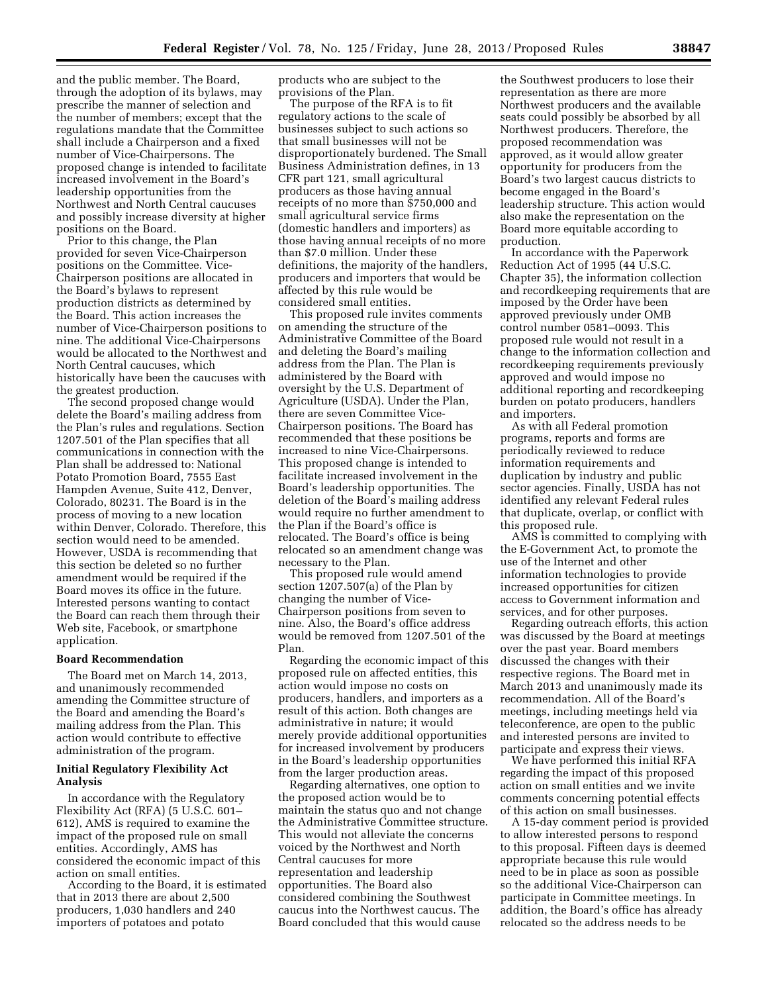and the public member. The Board, through the adoption of its bylaws, may prescribe the manner of selection and the number of members; except that the regulations mandate that the Committee shall include a Chairperson and a fixed number of Vice-Chairpersons. The proposed change is intended to facilitate increased involvement in the Board's leadership opportunities from the Northwest and North Central caucuses and possibly increase diversity at higher positions on the Board.

Prior to this change, the Plan provided for seven Vice-Chairperson positions on the Committee. Vice-Chairperson positions are allocated in the Board's bylaws to represent production districts as determined by the Board. This action increases the number of Vice-Chairperson positions to nine. The additional Vice-Chairpersons would be allocated to the Northwest and North Central caucuses, which historically have been the caucuses with the greatest production.

The second proposed change would delete the Board's mailing address from the Plan's rules and regulations. Section 1207.501 of the Plan specifies that all communications in connection with the Plan shall be addressed to: National Potato Promotion Board, 7555 East Hampden Avenue, Suite 412, Denver, Colorado, 80231. The Board is in the process of moving to a new location within Denver, Colorado. Therefore, this section would need to be amended. However, USDA is recommending that this section be deleted so no further amendment would be required if the Board moves its office in the future. Interested persons wanting to contact the Board can reach them through their Web site, Facebook, or smartphone application.

#### **Board Recommendation**

The Board met on March 14, 2013, and unanimously recommended amending the Committee structure of the Board and amending the Board's mailing address from the Plan. This action would contribute to effective administration of the program.

#### **Initial Regulatory Flexibility Act Analysis**

In accordance with the Regulatory Flexibility Act (RFA) (5 U.S.C. 601– 612), AMS is required to examine the impact of the proposed rule on small entities. Accordingly, AMS has considered the economic impact of this action on small entities.

According to the Board, it is estimated that in 2013 there are about 2,500 producers, 1,030 handlers and 240 importers of potatoes and potato

products who are subject to the provisions of the Plan.

The purpose of the RFA is to fit regulatory actions to the scale of businesses subject to such actions so that small businesses will not be disproportionately burdened. The Small Business Administration defines, in 13 CFR part 121, small agricultural producers as those having annual receipts of no more than \$750,000 and small agricultural service firms (domestic handlers and importers) as those having annual receipts of no more than \$7.0 million. Under these definitions, the majority of the handlers, producers and importers that would be affected by this rule would be considered small entities.

This proposed rule invites comments on amending the structure of the Administrative Committee of the Board and deleting the Board's mailing address from the Plan. The Plan is administered by the Board with oversight by the U.S. Department of Agriculture (USDA). Under the Plan, there are seven Committee Vice-Chairperson positions. The Board has recommended that these positions be increased to nine Vice-Chairpersons. This proposed change is intended to facilitate increased involvement in the Board's leadership opportunities. The deletion of the Board's mailing address would require no further amendment to the Plan if the Board's office is relocated. The Board's office is being relocated so an amendment change was necessary to the Plan.

This proposed rule would amend section 1207.507(a) of the Plan by changing the number of Vice-Chairperson positions from seven to nine. Also, the Board's office address would be removed from 1207.501 of the Plan.

Regarding the economic impact of this proposed rule on affected entities, this action would impose no costs on producers, handlers, and importers as a result of this action. Both changes are administrative in nature; it would merely provide additional opportunities for increased involvement by producers in the Board's leadership opportunities from the larger production areas.

Regarding alternatives, one option to the proposed action would be to maintain the status quo and not change the Administrative Committee structure. This would not alleviate the concerns voiced by the Northwest and North Central caucuses for more representation and leadership opportunities. The Board also considered combining the Southwest caucus into the Northwest caucus. The Board concluded that this would cause

the Southwest producers to lose their representation as there are more Northwest producers and the available seats could possibly be absorbed by all Northwest producers. Therefore, the proposed recommendation was approved, as it would allow greater opportunity for producers from the Board's two largest caucus districts to become engaged in the Board's leadership structure. This action would also make the representation on the Board more equitable according to production.

In accordance with the Paperwork Reduction Act of 1995 (44 U.S.C. Chapter 35), the information collection and recordkeeping requirements that are imposed by the Order have been approved previously under OMB control number 0581–0093. This proposed rule would not result in a change to the information collection and recordkeeping requirements previously approved and would impose no additional reporting and recordkeeping burden on potato producers, handlers and importers.

As with all Federal promotion programs, reports and forms are periodically reviewed to reduce information requirements and duplication by industry and public sector agencies. Finally, USDA has not identified any relevant Federal rules that duplicate, overlap, or conflict with this proposed rule.

AMS is committed to complying with the E-Government Act, to promote the use of the Internet and other information technologies to provide increased opportunities for citizen access to Government information and services, and for other purposes.

Regarding outreach efforts, this action was discussed by the Board at meetings over the past year. Board members discussed the changes with their respective regions. The Board met in March 2013 and unanimously made its recommendation. All of the Board's meetings, including meetings held via teleconference, are open to the public and interested persons are invited to participate and express their views.

We have performed this initial RFA regarding the impact of this proposed action on small entities and we invite comments concerning potential effects of this action on small businesses.

A 15-day comment period is provided to allow interested persons to respond to this proposal. Fifteen days is deemed appropriate because this rule would need to be in place as soon as possible so the additional Vice-Chairperson can participate in Committee meetings. In addition, the Board's office has already relocated so the address needs to be